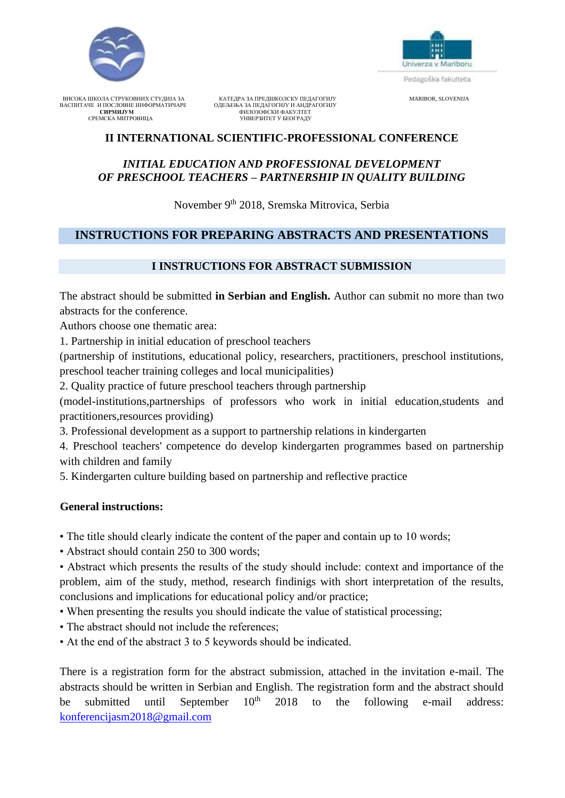



ВИСОКА ШКОЛА СТРУКОВНИХ СТУДИЈА ЗА КАТЕДРА ЗА ПРЕДШКОЛСКУ ПЕДАГОГИЈУ МАКО МАRIBOR, SLOVENIJA<br>ВАСПИТАЧЕ И ПОСЛОВНЕ ИНФОРМАТИЧАРЕ ОДЕЉЕЊА ЗА ПЕДАГОГИЈУ И АНДРАГОГИЈУ ВАСПИТАЧЕ И ПОСЛОВНЕ ИНФОРМАТИЧАРЕ ОДЕЉЕЊА ЗА ПЕДАГОГИЈУ И АНДРАГОГИЈУ **СИРМИЈУМ** ФИЛОЗОФСКИ ФАКУЛТЕТ СРЕМСКА МИТРОВИЦА УНВЕРЗИТЕТ У БЕОГРАДУ

# **II INTERNATIONAL SCIENTIFIC-PROFESSIONAL CONFERENCE**

# *INITIAL EDUCATION AND PROFESSIONAL DEVELOPMENT OF PRESCHOOL TEACHERS – PARTNERSHIP IN QUALITY BUILDING*

November 9<sup>th</sup> 2018, Sremska Mitrovica, Serbia

## **INSTRUCTIONS FOR PREPARING ABSTRACTS AND PRESENTATIONS**

## **I INSTRUCTIONS FOR ABSTRACT SUBMISSION**

The abstract should be submitted **in Serbian and English.** Author can submit no more than two abstracts for the conference.

Authors choose one thematic area:

1. Partnership in initial education of preschool teachers

(partnership of institutions, educational policy, researchers, practitioners, preschool institutions, preschool teacher training colleges and local municipalities)

2. Quality practice of future preschool teachers through partnership

(model-institutions,partnerships of professors who work in initial education,students and practitioners,resources providing)

3. Professional development as a support to partnership relations in kindergarten

4. Preschool teachers' competence do develop kindergarten programmes based on partnership with children and family

5. Kindergarten culture building based on partnership and reflective practice

#### **General instructions:**

• The title should clearly indicate the content of the paper and contain up to 10 words;

• Abstract should contain 250 to 300 words:

• Abstract which presents the results of the study should include: context and importance of the problem, aim of the study, method, research findinigs with short interpretation of the results, conclusions and implications for educational policy and/or practice;

- When presenting the results you should indicate the value of statistical processing;
- The abstract should not include the references;
- At the end of the abstract 3 to 5 keywords should be indicated.

There is a registration form for the abstract submission, attached in the invitation e-mail. The abstracts should be written in Serbian and English. The registration form and the abstract should be submitted until September  $10<sup>th</sup>$ 2018 to the following e-mail address: [konferencijasm2018@gmail.com](mailto:konferencijasm2018@gmail.com)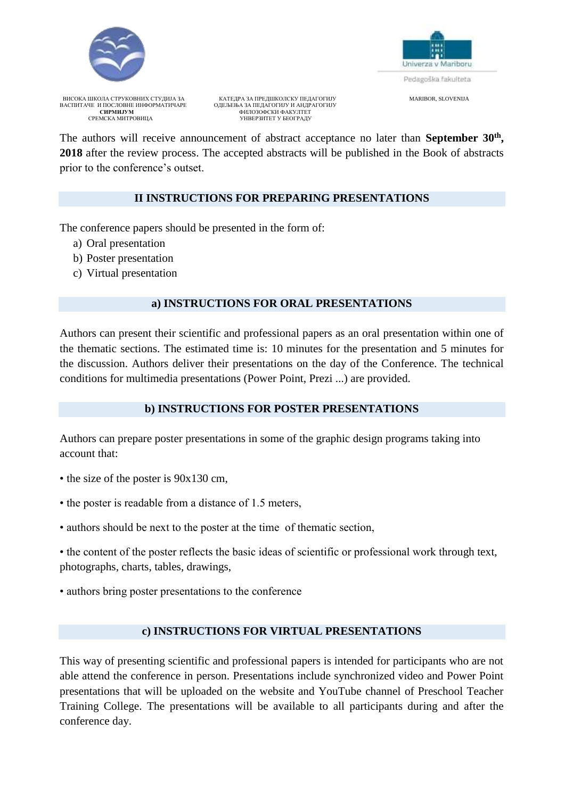



ВАСПИТАЧЕ И ПОСЛОВНЕ ИНФОРМАТИЧАРЕ ОДЕЉЕЊА ЗА ПЕДАГОГИЈУ И АНДРАГОГИЈУ **СИРМИЈУМ** ФИЛОЗОФСКИ ФАКУЛТЕТ СРЕМСКА МИТРОВИЦА УНВЕРЗИТЕТ У БЕОГРАДУ

ВИСОКА ШКОЛА СТРУКОВНИХ СТУДИЈА ЗА КАТЕДРА ЗА ПРЕДШКОЛСКУ ПЕДАГОГИЈУ МА КЛЕДО МАRIBOR, SLOVENIJA<br>ВАСПИТАЧЕ И ПОСЛОВНЕ ИНФОРМАТИЧАРЕ ОДЕЉЕЊА ЗА ПЕДАГОГИЈУ И АНДРАГОГИЈУ

The authors will receive announcement of abstract acceptance no later than **September 30<sup>th</sup>**, **2018** after the review process. The accepted abstracts will be published in the Book of abstracts prior to the conference's outset.

## **II INSTRUCTIONS FOR PREPARING PRESENTATIONS**

The conference papers should be presented in the form of:

- a) Oral presentation
- b) Poster presentation
- c) Virtual presentation

### **a) INSTRUCTIONS FOR ORAL PRESENTATIONS**

Authors can present their scientific and professional papers as an oral presentation within one of the thematic sections. The estimated time is: 10 minutes for the presentation and 5 minutes for the discussion. Authors deliver their presentations on the day of the Conference. The technical conditions for multimedia presentations (Power Point, Prezi ...) are provided.

#### **b) INSTRUCTIONS FOR POSTER PRESENTATIONS**

Authors can prepare poster presentations in some of the graphic design programs taking into account that:

- the size of the poster is 90x130 cm,
- the poster is readable from a distance of 1.5 meters,
- authors should be next to the poster at the time of thematic section,

• the content of the poster reflects the basic ideas of scientific or professional work through text, photographs, charts, tables, drawings,

• authors bring poster presentations to the conference

#### **c) INSTRUCTIONS FOR VIRTUAL PRESENTATIONS**

This way of presenting scientific and professional papers is intended for participants who are not able attend the conference in person. Presentations include synchronized video and Power Point presentations that will be uploaded on the website and YouTube channel of Preschool Teacher Training College. The presentations will be available to all participants during and after the conference day.